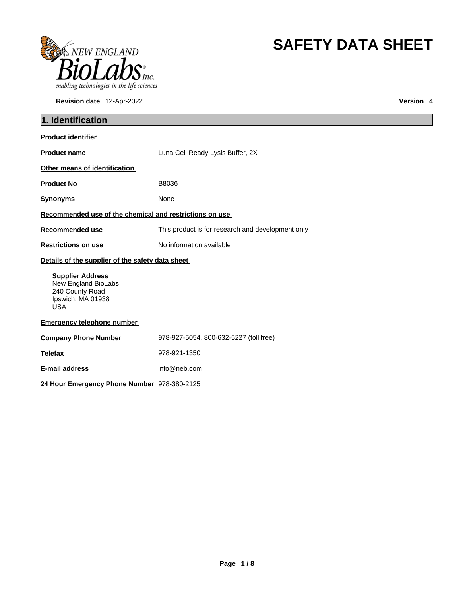

**Revision date** 12-Apr-2022 **Version** 4

# **SAFETY DATA SHEET**

| 1. Identification                                                                                    |                                                   |  |
|------------------------------------------------------------------------------------------------------|---------------------------------------------------|--|
| <b>Product identifier</b>                                                                            |                                                   |  |
| <b>Product name</b>                                                                                  | Luna Cell Ready Lysis Buffer, 2X                  |  |
| Other means of identification                                                                        |                                                   |  |
| <b>Product No</b>                                                                                    | B8036                                             |  |
| <b>Synonyms</b>                                                                                      | None                                              |  |
| Recommended use of the chemical and restrictions on use                                              |                                                   |  |
| <b>Recommended use</b>                                                                               | This product is for research and development only |  |
| <b>Restrictions on use</b>                                                                           | No information available                          |  |
| Details of the supplier of the safety data sheet                                                     |                                                   |  |
| <b>Supplier Address</b><br>New England BioLabs<br>240 County Road<br>Ipswich, MA 01938<br><b>USA</b> |                                                   |  |
| <b>Emergency telephone number</b>                                                                    |                                                   |  |
| <b>Company Phone Number</b>                                                                          | 978-927-5054, 800-632-5227 (toll free)            |  |
| <b>Telefax</b>                                                                                       | 978-921-1350                                      |  |
| <b>E-mail address</b>                                                                                | info@neb.com                                      |  |
| 24 Hour Emergency Phone Number 978-380-2125                                                          |                                                   |  |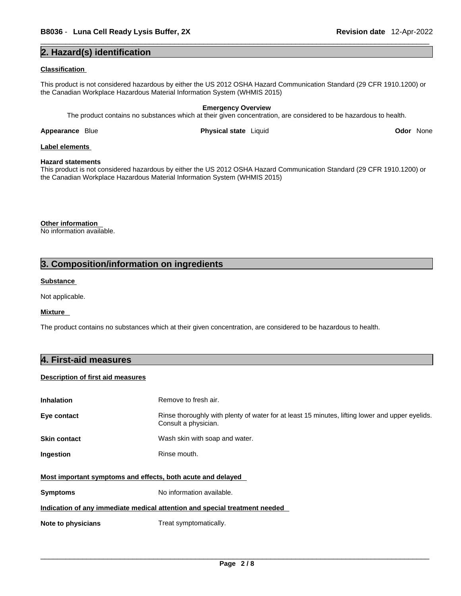# **2. Hazard(s) identification**

### **Classification**

This product is not considered hazardous by either the US 2012 OSHA Hazard Communication Standard (29 CFR 1910.1200) or the Canadian Workplace Hazardous Material Information System (WHMIS 2015)

# **Emergency Overview**

The product contains no substances which at their given concentration, are considered to be hazardous to health.

**Appearance Blue <b>Physical state** Liquid

**Odor** None

# **Label elements**

# **Hazard statements**

This product is not considered hazardous by either the US 2012 OSHA Hazard Communication Standard (29 CFR 1910.1200) or the Canadian Workplace Hazardous Material Information System (WHMIS 2015)

**Other information**  No information available.

# **3. Composition/information on ingredients**

# **Substance**

Not applicable.

# **Mixture**

The product contains no substances which at their given concentration, are considered to be hazardous to health.

# **4. First-aid measures**

# **Description of first aid measures**

| <b>Inhalation</b>                                                          | Remove to fresh air.                                                                                                    |  |  |
|----------------------------------------------------------------------------|-------------------------------------------------------------------------------------------------------------------------|--|--|
| Eye contact                                                                | Rinse thoroughly with plenty of water for at least 15 minutes, lifting lower and upper eyelids.<br>Consult a physician. |  |  |
| <b>Skin contact</b>                                                        | Wash skin with soap and water.                                                                                          |  |  |
| Ingestion                                                                  | Rinse mouth.                                                                                                            |  |  |
| Most important symptoms and effects, both acute and delayed                |                                                                                                                         |  |  |
| <b>Symptoms</b>                                                            | No information available.                                                                                               |  |  |
| Indication of any immediate medical attention and special treatment needed |                                                                                                                         |  |  |
| Note to physicians                                                         | Treat symptomatically.                                                                                                  |  |  |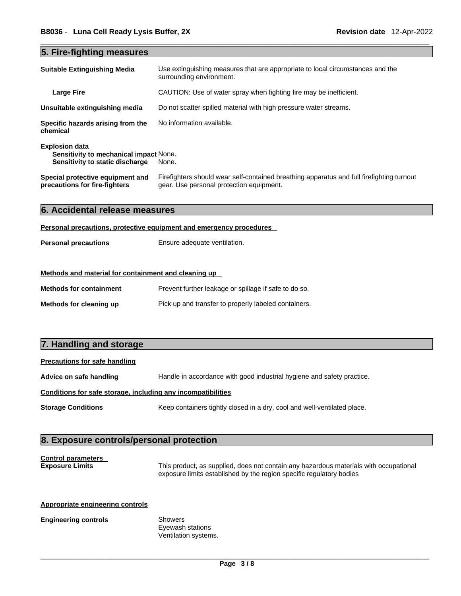# **5. Fire-fighting measures**

| <b>Suitable Extinguishing Media</b>                                                                       | Use extinguishing measures that are appropriate to local circumstances and the<br>surrounding environment.                            |
|-----------------------------------------------------------------------------------------------------------|---------------------------------------------------------------------------------------------------------------------------------------|
| <b>Large Fire</b>                                                                                         | CAUTION: Use of water spray when fighting fire may be inefficient.                                                                    |
| Unsuitable extinguishing media                                                                            | Do not scatter spilled material with high pressure water streams.                                                                     |
| Specific hazards arising from the<br>chemical                                                             | No information available.                                                                                                             |
| <b>Explosion data</b><br><b>Sensitivity to mechanical impact None.</b><br>Sensitivity to static discharge | None.                                                                                                                                 |
| Special protective equipment and<br>precautions for fire-fighters                                         | Firefighters should wear self-contained breathing apparatus and full firefighting turnout<br>gear. Use personal protection equipment. |

|  | 6. Accidental release measures |  |  |  |
|--|--------------------------------|--|--|--|
|--|--------------------------------|--|--|--|

# **Personal precautions, protective equipment and emergency procedures**

| <b>Personal precautions</b> | Ensure adequate ventilation. |
|-----------------------------|------------------------------|
|-----------------------------|------------------------------|

# **Methods and material for containment and cleaning up**

| <b>Methods for containment</b> | Prevent further leakage or spillage if safe to do so. |
|--------------------------------|-------------------------------------------------------|
| Methods for cleaning up        | Pick up and transfer to properly labeled containers.  |

# **7. Handling and storage**

# **Precautions for safe handling**

**Advice on safe handling** Handle in accordance with good industrial hygiene and safety practice.

# **Conditions for safe storage, including any incompatibilities**

**Storage Conditions** Keep containers tightly closed in a dry, cool and well-ventilated place.

# **8. Exposure controls/personal protection**

# **Control parameters**

**Exposure Limits** This product, as supplied, does not contain any hazardous materials with occupational exposure limits established by the region specific regulatory bodies

### **Appropriate engineering controls**

# **Engineering controls** Showers

Eyewash stations Ventilation systems.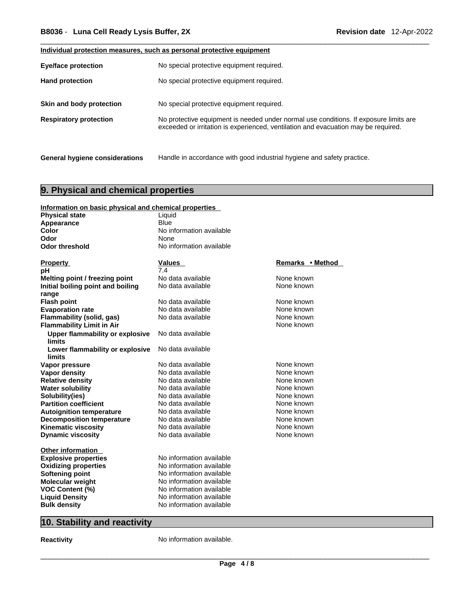# **Individual protection measures, such as personal protective equipment**

| <b>Eye/face protection</b>            | No special protective equipment required.                                                                                                                                   |
|---------------------------------------|-----------------------------------------------------------------------------------------------------------------------------------------------------------------------------|
| <b>Hand protection</b>                | No special protective equipment required.                                                                                                                                   |
| Skin and body protection              | No special protective equipment required.                                                                                                                                   |
| <b>Respiratory protection</b>         | No protective equipment is needed under normal use conditions. If exposure limits are<br>exceeded or irritation is experienced, ventilation and evacuation may be required. |
| <b>General hygiene considerations</b> | Handle in accordance with good industrial hygiene and safety practice.                                                                                                      |

# **9. Physical and chemical properties**

| Information on basic physical and chemical properties |                          |                  |  |
|-------------------------------------------------------|--------------------------|------------------|--|
| <b>Physical state</b>                                 | Liquid                   |                  |  |
| Appearance                                            | <b>Blue</b>              |                  |  |
| <b>Color</b>                                          | No information available |                  |  |
| Odor                                                  | None                     |                  |  |
| <b>Odor threshold</b>                                 | No information available |                  |  |
|                                                       |                          |                  |  |
| <b>Property</b>                                       | Values                   | Remarks • Method |  |
| рH                                                    | 7.4                      |                  |  |
| Melting point / freezing point                        | No data available        | None known       |  |
| Initial boiling point and boiling                     | No data available        | None known       |  |
| range                                                 |                          |                  |  |
| <b>Flash point</b>                                    | No data available        | None known       |  |
| <b>Evaporation rate</b>                               | No data available        | None known       |  |
| Flammability (solid, gas)                             | No data available        | None known       |  |
| <b>Flammability Limit in Air</b>                      |                          | None known       |  |
| <b>Upper flammability or explosive</b>                | No data available        |                  |  |
| <b>limits</b>                                         |                          |                  |  |
| Lower flammability or explosive                       | No data available        |                  |  |
| limits                                                |                          |                  |  |
| Vapor pressure                                        | No data available        | None known       |  |
| <b>Vapor density</b>                                  | No data available        | None known       |  |
| <b>Relative density</b>                               | No data available        | None known       |  |
| <b>Water solubility</b>                               | No data available        | None known       |  |
| Solubility(ies)                                       | No data available        | None known       |  |
| <b>Partition coefficient</b>                          | No data available        | None known       |  |
| <b>Autoignition temperature</b>                       | No data available        | None known       |  |
| <b>Decomposition temperature</b>                      | No data available        | None known       |  |
| <b>Kinematic viscosity</b>                            | No data available        | None known       |  |
| <b>Dynamic viscosity</b>                              | No data available        | None known       |  |
|                                                       |                          |                  |  |
| Other information                                     |                          |                  |  |
| <b>Explosive properties</b>                           | No information available |                  |  |
| <b>Oxidizing properties</b>                           | No information available |                  |  |
| <b>Softening point</b>                                | No information available |                  |  |
| <b>Molecular weight</b>                               | No information available |                  |  |
| VOC Content (%)                                       | No information available |                  |  |
| <b>Liquid Density</b>                                 | No information available |                  |  |
| <b>Bulk density</b>                                   | No information available |                  |  |

# **10. Stability and reactivity**

**Reactivity No information available.**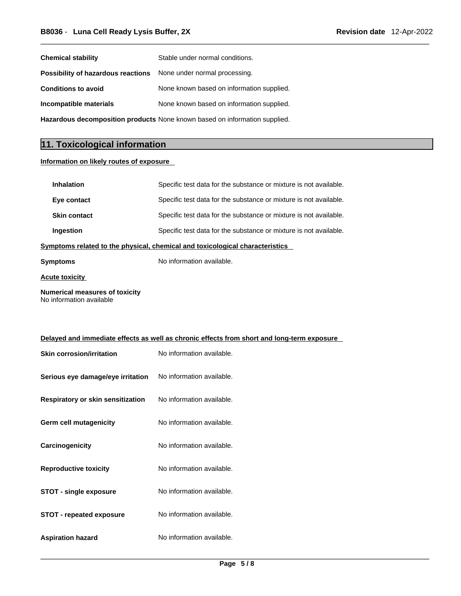| <b>Chemical stability</b>                                                  | Stable under normal conditions.           |  |
|----------------------------------------------------------------------------|-------------------------------------------|--|
| <b>Possibility of hazardous reactions</b> None under normal processing.    |                                           |  |
| <b>Conditions to avoid</b>                                                 | None known based on information supplied. |  |
| Incompatible materials                                                     | None known based on information supplied. |  |
| Hazardous decomposition products None known based on information supplied. |                                           |  |

# **11. Toxicological information**

# **Information on likely routes of exposure**

| Specific test data for the substance or mixture is not available.            |  |  |
|------------------------------------------------------------------------------|--|--|
| Specific test data for the substance or mixture is not available.            |  |  |
| Specific test data for the substance or mixture is not available.            |  |  |
| Specific test data for the substance or mixture is not available.            |  |  |
| Symptoms related to the physical, chemical and toxicological characteristics |  |  |
| No information available.                                                    |  |  |
|                                                                              |  |  |

**Acute toxicity**

**Numerical measures of toxicity** No information available

| Delayed and immediate effects as well as chronic effects from short and long-term exposure |                           |  |
|--------------------------------------------------------------------------------------------|---------------------------|--|
| <b>Skin corrosion/irritation</b>                                                           | No information available. |  |
| Serious eye damage/eye irritation                                                          | No information available. |  |
| Respiratory or skin sensitization                                                          | No information available. |  |
| Germ cell mutagenicity                                                                     | No information available. |  |
| Carcinogenicity                                                                            | No information available. |  |
| <b>Reproductive toxicity</b>                                                               | No information available. |  |
| <b>STOT - single exposure</b>                                                              | No information available. |  |
| <b>STOT - repeated exposure</b>                                                            | No information available. |  |

**Aspiration hazard** No information available.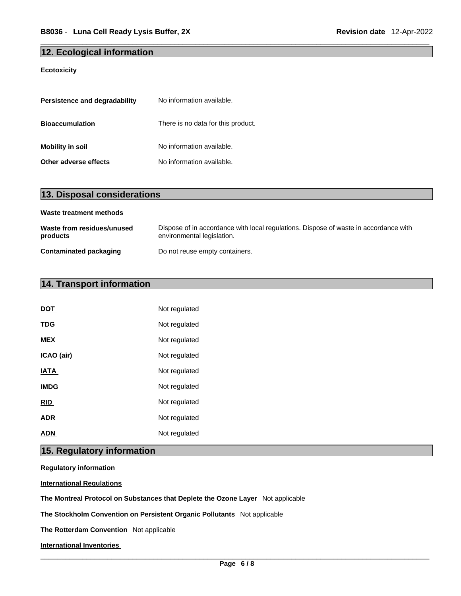# **12. Ecological information**

# **Ecotoxicity**

| Persistence and degradability | No information available.          |
|-------------------------------|------------------------------------|
| <b>Bioaccumulation</b>        | There is no data for this product. |
| <b>Mobility in soil</b>       | No information available.          |
| Other adverse effects         | No information available.          |

| 13. Disposal considerations            |                                                                                                                    |  |  |  |  |
|----------------------------------------|--------------------------------------------------------------------------------------------------------------------|--|--|--|--|
| Waste treatment methods                |                                                                                                                    |  |  |  |  |
| Waste from residues/unused<br>products | Dispose of in accordance with local regulations. Dispose of waste in accordance with<br>environmental legislation. |  |  |  |  |
| <b>Contaminated packaging</b>          | Do not reuse empty containers.                                                                                     |  |  |  |  |

# **14. Transport information**

| <b>DOT</b>  | Not regulated |
|-------------|---------------|
| <b>TDG</b>  | Not regulated |
| <b>MEX</b>  | Not regulated |
| ICAO (air)  | Not regulated |
| <b>IATA</b> | Not regulated |
| <b>IMDG</b> | Not regulated |
| <b>RID</b>  | Not regulated |
| <b>ADR</b>  | Not regulated |
| ADN         | Not regulated |

# **15. Regulatory information**

**Regulatory information**

**International Regulations**

**The Montreal Protocol on Substances that Deplete the Ozone Layer** Not applicable

**The Stockholm Convention on Persistent Organic Pollutants** Not applicable

**The Rotterdam Convention** Not applicable

**International Inventories**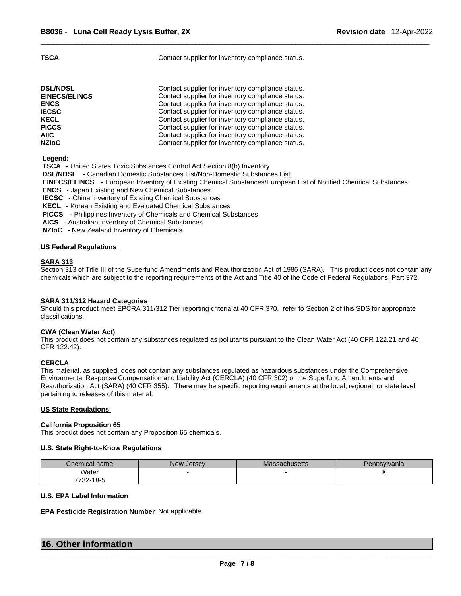**TSCA Contact supplier for inventory compliance status.** 

| <b>DSL/NDSL</b>      | Contact supplier for inventory compliance status. |
|----------------------|---------------------------------------------------|
| <b>EINECS/ELINCS</b> | Contact supplier for inventory compliance status. |
| <b>ENCS</b>          | Contact supplier for inventory compliance status. |
| <b>IECSC</b>         | Contact supplier for inventory compliance status. |
| <b>KECL</b>          | Contact supplier for inventory compliance status. |
| <b>PICCS</b>         | Contact supplier for inventory compliance status. |
| AIIC                 | Contact supplier for inventory compliance status. |
| <b>NZIoC</b>         | Contact supplier for inventory compliance status. |

 **Legend:** 

 **TSCA** - United States Toxic Substances Control Act Section 8(b) Inventory

 **DSL/NDSL** - Canadian Domestic Substances List/Non-Domestic Substances List

 **EINECS/ELINCS** - European Inventory of Existing Chemical Substances/European List of Notified Chemical Substances

 **ENCS** - Japan Existing and New Chemical Substances

 **IECSC** - China Inventory of Existing Chemical Substances

 **KECL** - Korean Existing and Evaluated Chemical Substances

 **PICCS** - Philippines Inventory of Chemicals and Chemical Substances

 **AICS** - Australian Inventory of Chemical Substances

 **NZIoC** - New Zealand Inventory of Chemicals

### **US Federal Regulations**

# **SARA 313**

Section 313 of Title III of the Superfund Amendments and Reauthorization Act of 1986 (SARA). This product does not contain any chemicals which are subject to the reporting requirements of the Act and Title 40 of the Code of Federal Regulations, Part 372.

# **SARA 311/312 Hazard Categories**

Should this product meet EPCRA 311/312 Tier reporting criteria at 40 CFR 370, refer to Section 2 of this SDS for appropriate classifications.

# **CWA** (Clean Water Act)

This product does not contain any substances regulated as pollutants pursuant to the Clean Water Act (40 CFR 122.21 and 40 CFR 122.42).

# **CERCLA**

This material, as supplied, does not contain any substances regulated as hazardous substances under the Comprehensive Environmental Response Compensation and Liability Act (CERCLA) (40 CFR 302) or the Superfund Amendments and Reauthorization Act (SARA) (40 CFR 355). There may be specific reporting requirements at the local, regional, or state level pertaining to releases of this material.

### **US State Regulations**

### **California Proposition 65**

This product does not contain any Proposition 65 chemicals.

### **U.S. State Right-to-Know Regulations**

| Chemical name | New Jersev | Massachusetts | Pennsylvania |
|---------------|------------|---------------|--------------|
| Water         |            |               |              |
| 7732-18-5     |            |               |              |

## **U.S. EPA Label Information**

**EPA Pesticide Registration Number** Not applicable

| 16. Other information |  |  |
|-----------------------|--|--|
|                       |  |  |